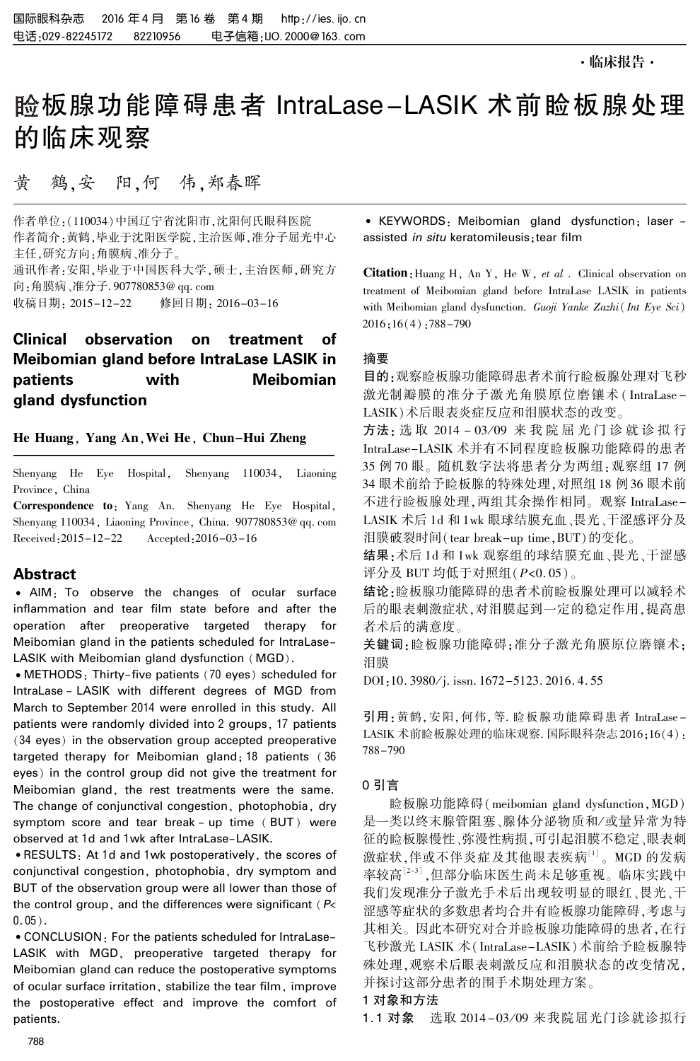# 睑板腺功能障碍患者 IntraLase-LASIK 术前睑板腺处理 的临床观察

黄 鹤,安 阳,何 伟,郑春晖

作者单位:(110034)中国辽宁省沈阳市,沈阳何氏眼科医院 作者简介:黄鹤,毕业于沈阳医学院,主治医师,准分子屈光中心 主任,研究方向:角膜病、准分子。 通讯作者:安阳,毕业于中国医科大学,硕士,主治医师,研究方 向:角膜病、准分子. 907780853@ qq. com 收稿日期: 2015-12-22 修回日期: 2016-03-16

## Clinical observation on treatment of Meibomian gland before IntraLase LASIK in patients with Meibomian gland dysfunction

#### He Huang, Yang An,Wei He, Chun-Hui Zheng

Shenyang He Eye Hospital, Shenyang 110034, Liaoning Province, China

Correspondence to: Yang An. Shenyang He Eye Hospital, Shenyang 110034, Liaoning Province, China. 907780853@ qq. com Received:2015-12-22 Accepted:2016-03-16

## Abstract

• AIM: To observe the changes of ocular surface inflammation and tear film state before and after the operation after preoperative targeted therapy for Meibomian gland in the patients scheduled for IntraLase-LASIK with Meibomian gland dysfunction (MGD).

• METHODS: Thirty-five patients (70 eyes) scheduled for IntraLase - LASIK with different degrees of MGD from March to September 2014 were enrolled in this study. All patients were randomly divided into 2 groups, 17 patients (34 eyes) in the observation group accepted preoperative targeted therapy for Meibomian gland; 18 patients ( 36 eyes) in the control group did not give the treatment for Meibomian gland, the rest treatments were the same. The change of conjunctival congestion, photophobia, dry symptom score and tear break - up time (BUT) were observed at 1d and 1wk after IntraLase-LASIK.

<sup>誗</sup>RESULTS: At 1d and 1wk postoperatively, the scores of conjunctival congestion, photophobia, dry symptom and BUT of the observation group were all lower than those of the control group, and the differences were significant ( $P$ <  $0.05$ .

<sup>誗</sup>CONCLUSION: For the patients scheduled for IntraLase-LASIK with MGD, preoperative targeted therapy for Meibomian gland can reduce the postoperative symptoms of ocular surface irritation, stabilize the tear film, improve the postoperative effect and improve the comfort of patients.

<sup>誗</sup> KEYWORDS: Meibomian gland dysfunction; laser assisted in situ keratomileusis; tear film

Citation: Huang H, An Y, He W, et al. Clinical observation on treatment of Meibomian gland before IntraLase LASIK in patients with Meibomian gland dysfunction. Guoji Yanke Zazhi( Int Eye Sci) 2016;16(4):788-790

## 摘要

目的:观察睑板腺功能障碍患者术前行睑板腺处理对飞秒 激光制瓣膜的准分子激光角膜原位磨镶术( IntraLase - LASIK)术后眼表炎症反应和泪膜状态的改变。

方法: 选取 2014-03/09 来我院屈光门诊就诊拟行 IntraLase-LASIK 术并有不同程度睑板腺功能障碍的患者 35 例 70 眼。 随机数字法将患者分为两组:观察组 17 例 34 眼术前给予睑板腺的特殊处理,对照组 18 例 36 眼术前 不进行睑板腺处理,两组其余操作相同。 观察 IntraLase-LASIK 术后 1d 和 1wk 眼球结膜充血、畏光、干涩感评分及 泪膜破裂时间(tear break-up time,BUT)的变化。

结果:术后 1d 和 1wk 观察组的球结膜充血、畏光、干涩感 评分及 BUT 均低于对照组(P<0. 05)。

结论:睑板腺功能障碍的患者术前睑板腺处理可以减轻术 后的眼表刺激症状,对泪膜起到一定的稳定作用,提高患 者术后的满意度。

关键词:睑板腺功能障碍;准分子激光角膜原位磨镶术; 泪膜

DOI:10. 3980/j. issn. 1672-5123. 2016. 4. 55

引用:黄鹤,安阳,何伟,等. 睑板腺功能障碍患者 IntraLase -LASIK 术前睑板腺处理的临床观察. 国际眼科杂志 2016;16(4): 788-790

## 0 引言

睑板腺功能障碍(meibomian gland dysfunction,MGD) 是一类以终末腺管阻塞、腺体分泌物质和/或量异常为特 征的睑板腺慢性、弥漫性病损,可引起泪膜不稳定、眼表刺 激症状,伴或不伴炎症及其他眼表疾病[1] 。 MGD 的发病 率较高<sup>[2-3]</sup> ,但部分临床医生尚未足够重视。临床实践中 我们发现准分子激光手术后出现较明显的眼红、畏光、干 涩感等症状的多数患者均合并有睑板腺功能障碍,考虑与 其相关。 因此本研究对合并睑板腺功能障碍的患者,在行 飞秒激光 LASIK 术( IntraLase-LASIK)术前给予睑板腺特 殊处理,观察术后眼表刺激反应和泪膜状态的改变情况, 并探讨这部分患者的围手术期处理方案。

## 1 对象和方法

1.1 对象 选取 2014-03/09 来我院屈光门诊就诊拟行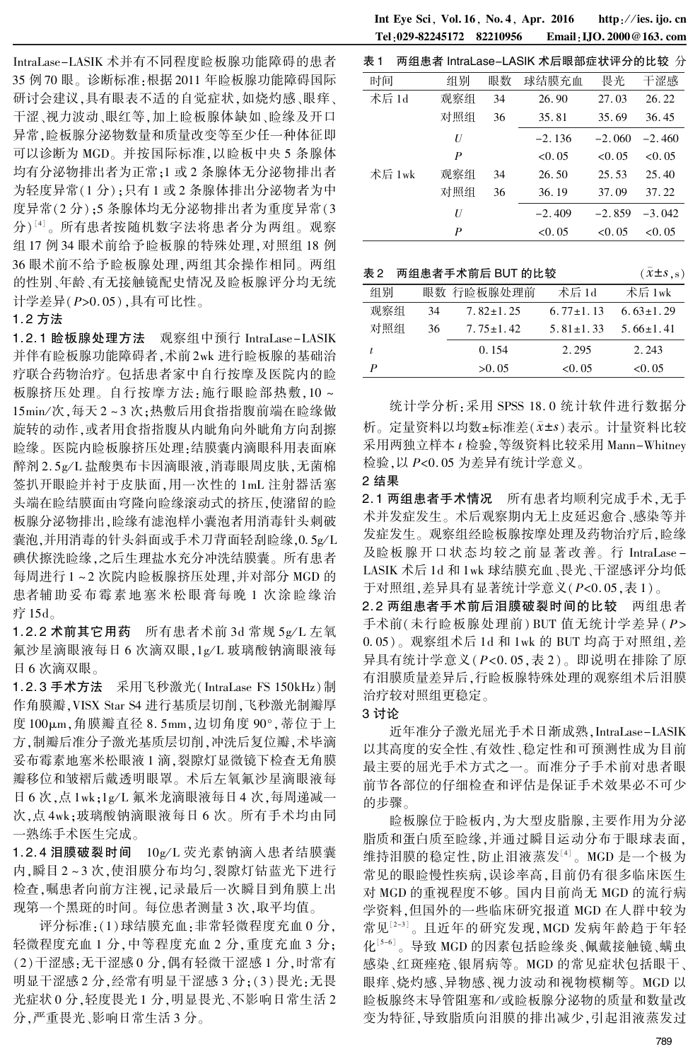IntraLase-LASIK 术并有不同程度睑板腺功能障碍的患者 35 例 70 眼。 诊断标准:根据 2011 年睑板腺功能障碍国际 研讨会建议,具有眼表不适的自觉症状,如烧灼感、眼痒、 干涩、视力波动、眼红等,加上睑板腺体缺如、睑缘及开口 异常,睑板腺分泌物数量和质量改变等至少任一种体征即 可以诊断为 MGD。 并按国际标准,以睑板中央 5 条腺体 均有分泌物排出者为正常;1 或 2 条腺体无分泌物排出者 为轻度异常(1 分);只有 1 或 2 条腺体排出分泌物者为中 度异常(2 分);5 条腺体均无分泌物排出者为重度异常(3 分)"'。所有患者按随机数字法将患者分为两组。观察 组 17 例 34 眼术前给予睑板腺的特殊处理,对照组 18 例 36 眼术前不给予睑板腺处理,两组其余操作相同。 两组 的性别、年龄、有无接触镜配史情况及睑板腺评分均无统 计学差异(P>0. 05),具有可比性。

## 1. 2 方法

1. 2. 1 睑板腺处理方法 观察组中预行 IntraLase-LASIK 并伴有睑板腺功能障碍者,术前 2wk 进行睑板腺的基础治 疗联合药物治疗。 包括患者家中自行按摩及医院内的睑 板腺挤压处理。自行按摩方法:施行眼睑部热敷,10~ 15min/次,每天 2~3次;热敷后用食指指腹前端在睑缘做 旋转的动作,或者用食指指腹从内眦角向外眦角方向刮擦 睑缘。 医院内睑板腺挤压处理:结膜囊内滴眼科用表面麻 醉剂 2.5g/L 盐酸奥布卡因滴眼液,消毒眼周皮肤,无菌棉 签扒开眼睑并衬于皮肤面,用一次性的 1mL 注射器活塞 头端在睑结膜面由穹隆向睑缘滚动式的挤压,使潴留的睑 板腺分泌物排出,睑缘有滤泡样小囊泡者用消毒针头刺破 囊泡,并用消毒的针头斜面或手术刀背面轻刮睑缘,0.5g/L 碘伏擦洗睑缘,之后生理盐水充分冲洗结膜囊。 所有患者 每周进行 1 ~ 2 次院内睑板腺挤压处理,并对部分 MGD 的 患者辅助妥布霉素地塞米松眼膏每晚 1 次涂睑缘治 疗 15d。

1. 2. 2 术前其它用药 所有患者术前 3d 常规 5g/L 左氧 氟沙星滴眼液每日 6 次滴双眼, 1g/L 玻璃酸钠滴眼液每 日 6 次滴双眼。

1. 2. 3 手术方法 采用飞秒激光( IntraLase FS 150kHz)制 作角膜瓣,VISX Star S4 进行基质层切削,飞秒激光制瓣厚 度 100μm,角膜瓣直径 8. 5mm,边切角度 90°,蒂位于上 方,制瓣后准分子激光基质层切削,冲洗后复位瓣,术毕滴 妥布霉素地塞米松眼液 1 滴,裂隙灯显微镜下检查无角膜 瓣移位和皱褶后戴透明眼罩。 术后左氧氟沙星滴眼液每 日 6 次,点 1wk;1g/L 氟米龙滴眼液每日 4 次,每周递减一 次,点 4wk;玻璃酸钠滴眼液每日 6 次。 所有手术均由同 一熟练手术医生完成。

1.2.4 泪膜破裂时间  $10g/L$  荧光素钠滴入患者结膜囊 内,瞬目 2 ~ 3 次,使泪膜分布均匀,裂隙灯钴蓝光下进行 检查,嘱患者向前方注视,记录最后一次瞬目到角膜上出 现第一个黑斑的时间。 每位患者测量 3 次,取平均值。

评分标准:(1)球结膜充血:非常轻微程度充血 0 分, 轻微程度充血 1 分,中等程度充血 2 分,重度充血 3 分; (2)干涩感:无干涩感 0 分,偶有轻微干涩感 1 分,时常有 明显干涩感 2 分,经常有明显干涩感 3 分;(3)畏光:无畏 光症状 0 分,轻度畏光 1 分,明显畏光、不影响日常生活 2 分,严重畏光、影响日常生活 3 分。

Int Eye Sci, Vol. 16, No. 4, Apr. 2016 http://ies. ijo. cn Tel:029-82245172 82210956 Email:IJO. 2000@163. com

| 表 1    |     |    | 两组患者 IntraLase-LASIK 术后眼部症状评分的比较 分 |          |          |
|--------|-----|----|------------------------------------|----------|----------|
| 时间     | 组别  | 眼数 | 球结膜充血                              | 畏光       | 干涩感      |
| 术后 1d  | 观察组 | 34 | 26.90                              | 27.03    | 26.22    |
|        | 对照组 | 36 | 35.81                              | 35.69    | 36.45    |
|        | U   |    | $-2.136$                           | $-2.060$ | $-2.460$ |
|        | P   |    | < 0.05                             | < 0.05   | < 0.05   |
| 术后 1wk | 观察组 | 34 | 26.50                              | 25.53    | 25.40    |
|        | 对照组 | 36 | 36.19                              | 37.09    | 37.22    |
|        | U   |    | $-2.409$                           | $-2.859$ | $-3.042$ |
|        | P   |    | < 0.05                             | < 0.05   | < 0.05   |

| 表 2 |    | 两组患者手术前后 BUT 的比较 |                 | $(\bar{x} \pm s, s)$ |
|-----|----|------------------|-----------------|----------------------|
| 组别  |    | 眼数 行睑板腺处理前       | 术后 1d           | 术后 1wk               |
| 观察组 | 34 | $7.82 \pm 1.25$  | $6.77 \pm 1.13$ | $6.63 \pm 1.29$      |
| 对照组 | 36 | $7.75 \pm 1.42$  | $5.81 \pm 1.33$ | $5.66 \pm 1.41$      |
|     |    | 0.154            | 2.295           | 2.243                |
| P   |    | >0.05            | < 0.05          | < 0.05               |

统计学分析:采用 SPSS 18. 0 统计软件进行数据分 析。定量资料以均数±标准差(x±s)表示。计量资料比较 采用两独立样本 t 检验,等级资料比较采用 Mann-Whitney 检验,以 P<0. 05 为差异有统计学意义。

#### 2 结果

2. 1 两组患者手术情况 所有患者均顺利完成手术,无手 术并发症发生。 术后观察期内无上皮延迟愈合、感染等并 发症发生。 观察组经睑板腺按摩处理及药物治疗后,睑缘 及睑板腺开口状态均较之前显著改善。 行 IntraLase - LASIK 术后 1d 和 1wk 球结膜充血、畏光、干涩感评分均低 于对照组,差异具有显著统计学意义(P<0. 05,表 1)。

2. 2 两组患者手术前后泪膜破裂时间的比较 两组患者 手术前(未行睑板腺处理前) BUT 值无统计学差异(P>  $(0.05)$ 。观察组术后 1d 和 1wk 的 BUT 均高于对照组, 差 异具有统计学意义(P<0. 05,表 2)。 即说明在排除了原 有泪膜质量差异后,行睑板腺特殊处理的观察组术后泪膜 治疗较对照组更稳定。

#### 3 讨论

近年准分子激光屈光手术日渐成熟,IntraLase-LASIK 以其高度的安全性、有效性、稳定性和可预测性成为目前 最主要的屈光手术方式之一。 而准分子手术前对患者眼 前节各部位的仔细检查和评估是保证手术效果必不可少 的步骤。

睑板腺位于睑板内,为大型皮脂腺,主要作用为分泌 脂质和蛋白质至睑缘,并通过瞬目运动分布于眼球表面, 维持泪膜的稳定性,防止泪液蒸发'<sup>4」</sup>。MGD 是一个极为 常见的眼睑慢性疾病,误诊率高,目前仍有很多临床医生 对 MGD 的重视程度不够。 国内目前尚无 MGD 的流行病 学资料,但国外的一些临床研究报道 MGD 在人群中较为 常见[2-3]。且近年的研究发现,MGD 发病年龄趋于年轻 化[5-6]。导致 MGD 的因素包括睑缘炎、佩戴接触镜、螨虫 感染、红斑痤疮、银屑病等。 MGD 的常见症状包括眼干、 眼痒、烧灼感、异物感、视力波动和视物模糊等。 MGD 以 睑板腺终末导管阻塞和/ 或睑板腺分泌物的质量和数量改 变为特征,导致脂质向泪膜的排出减少,引起泪液蒸发过